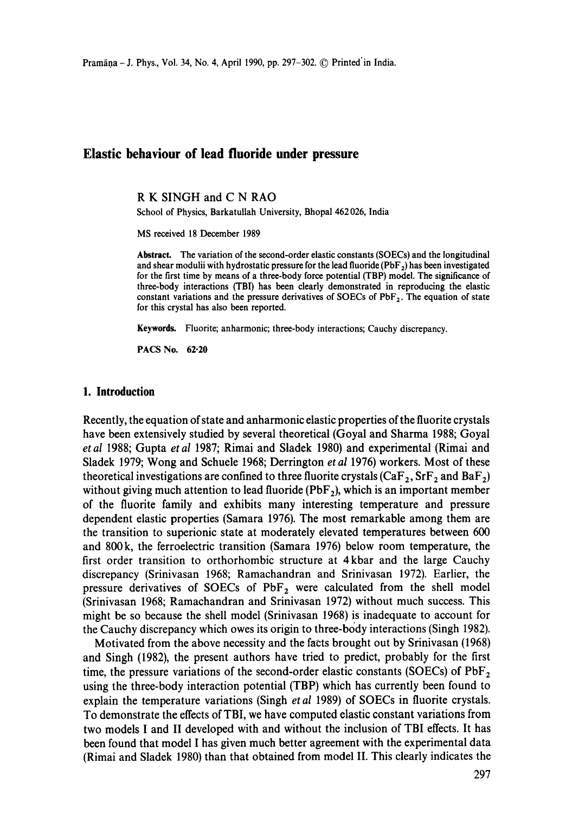# **Elastic behaviour of lead fluoride under pressure**

**R K** SINGH and **C N** RAO

School of Physics, Barkatullah University, Bhopal 462 026, **India** 

MS received 18 December 1989

Abstract. The variation of the second-order **elastic constants (SOECs) and** the longitudinal and shear modulii with hydrostatic pressure for the lead fluoride ( $PbF_2$ ) has been investigated for the first time by means of a three-body force potential (TBP) model. The significance of three-body interactions (TBI) has been clearly demonstrated in reproducing the elastic constant variations and the pressure derivatives of SOECs of PbF<sub>2</sub>. The equation of state for this crystal has also been reported.

**Keywords.** Fluorite; anharmonic; three-body interactions; Cauchy discrepancy.

PACS No. 62.20

### **1. Introduction**

Recently, the equation of state and anharmonic elastic properties of the fluorite crystals have been extensively studied by several theoretical (Goyal and Sharma 1988; Goyal *etal* 1988; Gupta *etal* 1987; Rimai and Sladek 1980) and experimental (Rimai and Sladek 1979; Wong and Schuele 1968; Derrington *et al* 1976) workers. Most of these theoretical investigations are confined to three fluorite crystals (CaF<sub>2</sub>, SrF<sub>2</sub> and BaF<sub>2</sub>) without giving much attention to lead fluoride ( $PbF_2$ ), which is an important member of the fluorite family and exhibits many interesting temperature and pressure dependent elastic properties (Samara 1976). The most remarkable among them are the transition to superionic state at moderately elevated temperatures between 600 and 800k, the ferroelectric transition (Samara 1976) below room temperature, the first order transition to orthorhombic structure at 4kbar and the large Cauchy discrepancy (Srinivasan 1968; Ramachandran and Srinivasan 1972). Earlier, the pressure derivatives of SOECs of  $PbF_2$  were calculated from the shell model (Srinivasan 1968; Ramachandran and Srinivasan 1972) without much success. This might be so because the shell model (Srinivasan 1968) is inadequate to account for the Cauchy discrepancy which owes its origin to three-body interactions (Singh 1982).

Motivated from the above necessity and the facts brought out by Srinivasan (1968) and Singh (1982), the present authors have tried to predict, probably for the first time, the pressure variations of the second-order elastic constants (SOECs) of  $PbF<sub>2</sub>$ using the three-body interaction potential (TBP) which has currently been found to explain the temperature variations (Singh *et al* 1989) of SOECs in fluorite crystals. To demonstrate the effects of TBI, we have computed elastic constant variations from two models I and II developed with and without the inclusion of TBI effects. It has been found that model I has given much better agreement with the experimental data (Rimai and Sladek 1980) than that obtained from model II. This clearly indicates the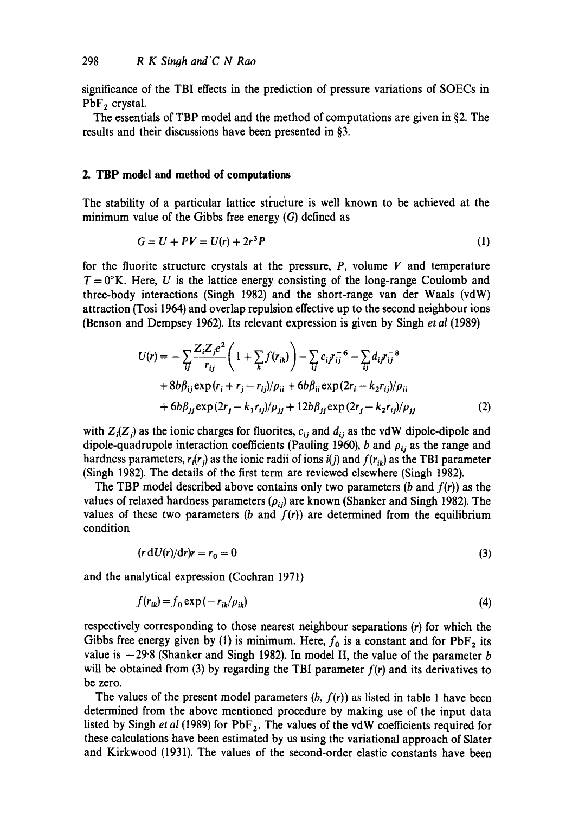significance of the TBI effects in the prediction of pressure variations of SOECs in  $PbF<sub>2</sub>$  crystal.

The essentials of TBP model and the method of computations are given in §2. The results and their discussions have been presented in §3.

### **2. TBP model and method of computations**

The stability of a particular lattice structure is well known to be achieved at the minimum value of the Gibbs free energy (G) defined as

$$
G = U + PV = U(r) + 2r^3P
$$
 (1)

for the fluorite structure crystals at the pressure,  $P$ , volume  $V$  and temperature  $T = 0$ °K. Here, U is the lattice energy consisting of the long-range Coulomb and three-body interactions (Singh 1982) and the short-range van der Waals (vdW) attraction (Tosi 1964) and overlap repulsion effective up to the second neighbour ions (Benson and Dempsey 1962). Its relevant expression is given by Singh *et al* (1989)

$$
U(r) = -\sum_{ij} \frac{Z_i Z_j e^2}{r_{ij}} \left( 1 + \sum_k f(r_{ik}) \right) - \sum_{ij} c_{ij} r_{ij}^{-6} - \sum_{ij} d_{ij} r_{ij}^{-8} + 8b \beta_{ij} \exp(r_i + r_j - r_{ij})/\rho_{ii} + 6b \beta_{ii} \exp(2r_i - k_2 r_{ij})/\rho_{ii} + 6b \beta_{jj} \exp(2r_j - k_1 r_{ij})/\rho_{jj} + 12b \beta_{jj} \exp(2r_j - k_2 r_{ij})/\rho_{jj}
$$
 (2)

with  $Z_i(Z_i)$  as the ionic charges for fluorites,  $c_{ij}$  and  $d_{ij}$  as the vdW dipole-dipole and dipole-quadrupole interaction coefficients (Pauling 1960), b and  $\rho_{ij}$  as the range and hardness parameters,  $r_i(r_j)$  as the ionic radii of ions  $i(j)$  and  $f(r_{ik})$  as the TBI parameter (Singh 1982). The details of the first term are reviewed elsewhere (Singh 1982).

The TBP model described above contains only two parameters  $(b \text{ and } f(r))$  as the values of relaxed hardness parameters  $(\rho_{ij})$  are known (Shanker and Singh 1982). The values of these two parameters (b and  $f(r)$ ) are determined from the equilibrium condition

$$
(r dU(r)/dr)r = r_0 = 0 \tag{3}
$$

and the analytical expression (Cochran 1971)

$$
f(r_{ik}) = f_0 \exp\left(-r_{ik}/\rho_{ik}\right) \tag{4}
$$

respectively corresponding to those nearest neighbour separations (r) for which the Gibbs free energy given by (1) is minimum. Here,  $f_0$  is a constant and for PbF<sub>2</sub> its value is  $-29.8$  (Shanker and Singh 1982). In model II, the value of the parameter b will be obtained from  $(3)$  by regarding the TBI parameter  $f(r)$  and its derivatives to be zero.

The values of the present model parameters  $(b, f(r))$  as listed in table 1 have been determined from the above mentioned procedure by making use of the input data listed by Singh *et al* (1989) for  $PbF_2$ . The values of the vdW coefficients required for these calculations have been estimated by us using the variational approach of Slater and Kirkwood (1931). The values of the second-order elastic constants have been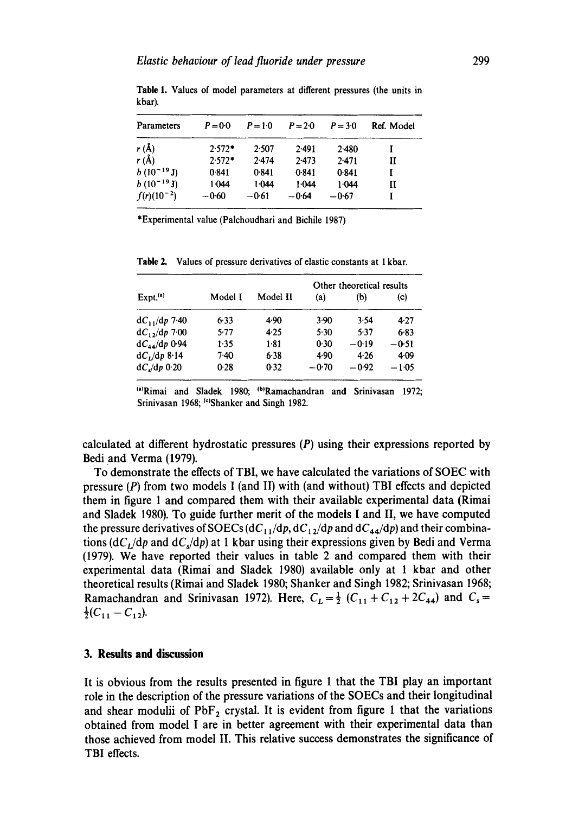| <b>Parameters</b> | $P = 0.0$ | $P = 1.0$ | $P = 2.0$ | $P = 3.0$ | Ref. Model |
|-------------------|-----------|-----------|-----------|-----------|------------|
| $r(\AA)$          | $2.572*$  | 2.507     | 2.491     | $2-480$   |            |
| r(A)              | $2.572*$  | 2.474     | 2.473     | 2.471     | и          |
| $b(10^{-19}J)$    | 0.841     | 0.841     | 0.841     | 0.841     |            |
| $b(10^{-19}J)$    | 1.044     | 1.044     | 1.044     | 1.044     | п          |
| $f(r)(10^{-2})$   | $-0.60$   | $-0.61$   | $-0.64$   | $-0.67$   |            |

Table 1. Values of model parameters at different pressures (the units in kbar).

\*Experimental value (Palchoudhari and Bichile 1987)

|                             |         |          | Other theoretical results |         |          |
|-----------------------------|---------|----------|---------------------------|---------|----------|
| $Expt.$ <sup>(a)</sup>      | Model I | Model II | (a)                       | (b)     | (c)      |
| $dC_{11}/dp$ 7.40           | $6-33$  | 4.90     | 3.90                      | 3.54    | $4 - 27$ |
| $dC_1$ , $dp$ 7.00          | 5.77    | 4.25     | 5.30                      | 5.37    | 6.83     |
| $dC_{44}/dp$ 0.94           | $1-35$  | $1-81$   | 0.30                      | $-0.19$ | $-0.51$  |
| $dC_1/dp 8.14$              | $7-40$  | 6.38     | 4.90                      | 4.26    | $4 - 09$ |
| $dC$ <sub>s</sub> $dp$ 0.20 | 0.28    | 0.32     | $-0.70$                   | $-0.92$ | $-1.05$  |

Table 2. Values of pressure derivatives of elastic constants at 1 kbar.

<sup>(a)</sup>Rimai and Sladek 1980; <sup>(b)</sup>Ramachandran and Srinivasan 1972; Srinivasan 1968; <sup>(c)</sup>Shanker and Singh 1982.

calculated at different hydrostatic pressures  $(P)$  using their expressions reported by Bedi and Verma (1979).

To demonstrate the effects of TBI, we have calculated the variations of SOEC with pressure  $(P)$  from two models I (and II) with (and without) TBI effects and depicted them in figure 1 and compared them with their available experimental data (Rimai and Sladek 1980). To guide further merit of the models I and II, we have computed the pressure derivatives of SOECs  $(dC_{11}/dp, dC_{12}/dp$  and  $dC_{44}/dp)$  and their combinations  $(dC_t/dp$  and  $dC_s/dp$ ) at 1 kbar using their expressions given by Bedi and Verma (1979). We have reported their values in table 2 and compared them with their experimental data (Rimai and Sladek 1980) available only at 1 kbar and other theoretical results (Rimai and Sladek 1980; Shanker and Singh 1982; Srinivasan 1968; Ramachandran and Srinivasan 1972). Here,  $C_L = \frac{1}{2} (C_{11} + C_{12} + 2C_{44})$  and  $C_s =$  $\frac{1}{2}(C_{11}-C_{12}).$ 

#### **3. Results and discussion**

It is obvious from the results presented in figure 1 that the TBI play an important role in the description of the pressure variations of the SOECs and their longitudinal and shear modulii of  $PbF_2$  crystal. It is evident from figure 1 that the variations obtained from model I are in better agreement with their experimental data than those achieved from model II. This relative success demonstrates the significance of TBI effects.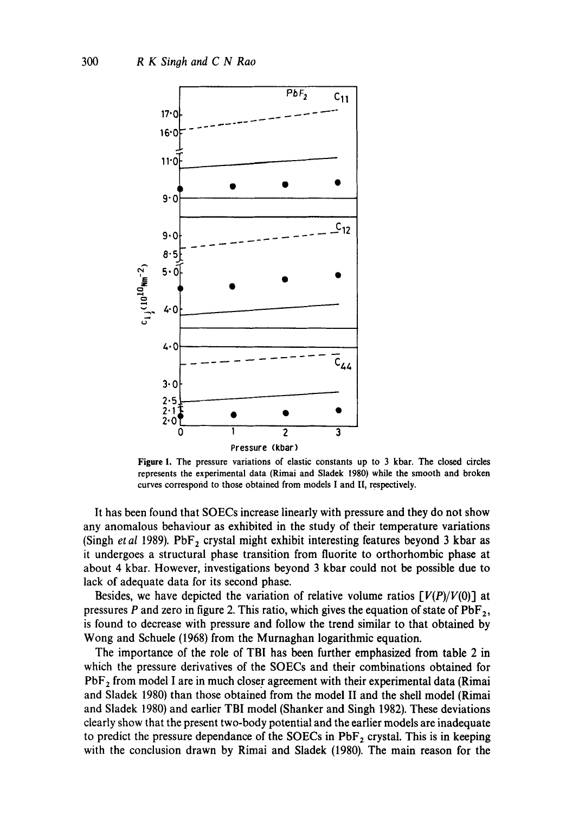

**Figure** 1. The pressure variations of elastic constants up to 3 kbar. The closed circles represents the experimental data (Rimai and Sladek 1980) while the smooth and broken curves correspond to those obtained from models I and II, respectively.

It has been found that SOECs increase linearly with pressure and they do not show any anomalous behaviour as exhibited in the study of their temperature variations (Singh *et al* 1989). PbF<sub>2</sub> crystal might exhibit interesting features beyond 3 kbar as it undergoes a structural phase transition from fluorite to orthorhombic phase at about 4 kbar. However, investigations beyond 3 kbar could not be possible due to lack of adequate data for its second phase.

Besides, we have depicted the variation of relative volume ratios *[V(P)/V(O)]* at pressures P and zero in figure 2. This ratio, which gives the equation of state of  $PbF_2$ , is found to decrease with pressure and follow the trend similar to that obtained by Wong and Schuele (1968) from the Murnaghan logarithmic equation.

The importance of the role of TBI has been further emphasized from table 2 in which the pressure derivatives of the SOECs and their combinations obtained for  $PbF<sub>2</sub>$  from model I are in much closer agreement with their experimental data (Rimai and Sladek 1980) than those obtained from the model II and the shell model (Rimai and Sladek 1980) and earlier TBI model (Shanker and Singh 1982). These deviations clearly show that the present two-body potential and the earlier models are inadequate to predict the pressure dependance of the SOECs in  $PbF<sub>2</sub>$  crystal. This is in keeping with the conclusion drawn by Rimai and Sladek (1980). The main reason for the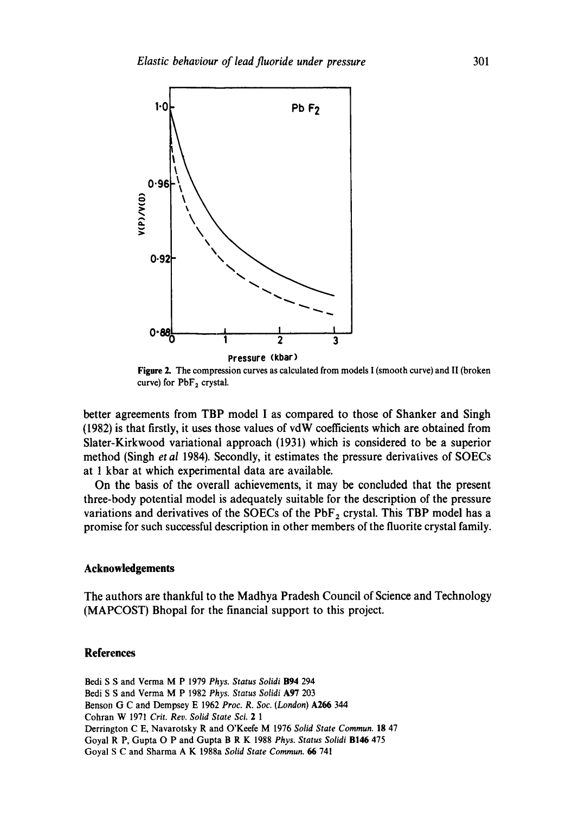

**Figure** 2. The compression curves as calculated from models I (smooth curve) and H (broken curve) for  $PbF<sub>2</sub>$  crystal.

better agreements from TBP model I as compared to those of Shanker and Singh (1982) is that firstly, it uses those values of vdW coefficients which are obtained from Slater-Kirkwood variational approach (1931) which is considered to be a superior method (Singh *et al* 1984). Secondly, it estimates the pressure derivatives of SOECs at 1 kbar at which experimental data are available.

On the basis of the overall achievements, it may be concluded that the present three-body potential model is adequately suitable for the description of the pressure variations and derivatives of the SOECs of the  $PbF<sub>2</sub>$  crystal. This TBP model has a promise for such successful description in other members of the fluorite crystal family.

#### **Acknowledgements**

The authors are thankful to the Madhya Pradesh Council of Science and Technology (MAPCOST) Bhopal for the financial support to this project.

## **References**

Bedi S S and Verma M P 1979 Phys. Status Solidi B94 294 Bedi S S and Verma M P 1982 *Phys. Status Solidi* A97 203 Benson G C and Dempsey E 1962 *Proc. R. Soc. (London)* A266 344 Cohran W 1971 *Crit. Rev. Solid State Sci. 2 1*  Derrington C E, Navarotsky R and O'Keefe M 1976 *Solid State Commun.* 18 47 Goyal R P, Gupta O P and Gupta B R K 1988 *Phys. Status Solidi* B146 475 Goyal S C and Sharma A K 1988a *Solid State Commun. 66* 741